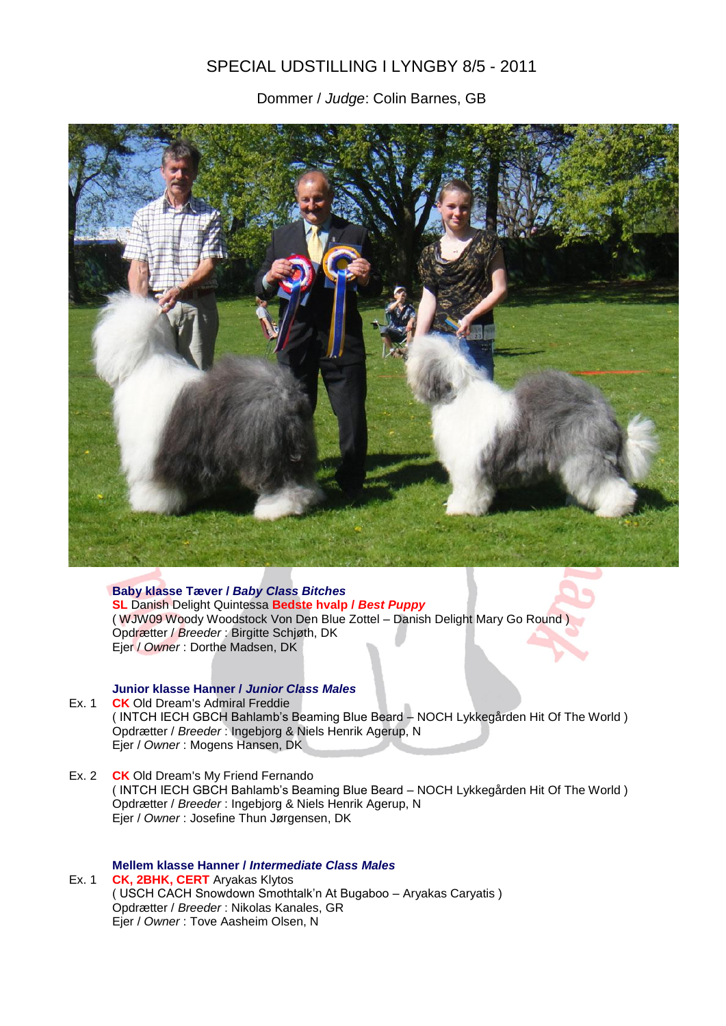# SPECIAL UDSTILLING I LYNGBY 8/5 - 2011

Dommer / *Judge*: Colin Barnes, GB



**Baby klasse Tæver /** *Baby Class Bitches* **SL** Danish Delight Quintessa **Bedste hvalp /** *Best Puppy* ( WJW09 Woody Woodstock Von Den Blue Zottel – Danish Delight Mary Go Round ) Opdrætter / *Breeder* : Birgitte Schjøth, DK Ejer / *Owner* : Dorthe Madsen, DK

### **Junior klasse Hanner /** *Junior Class Males*

- Ex. 1 **CK** Old Dream's Admiral Freddie ( INTCH IECH GBCH Bahlamb's Beaming Blue Beard – NOCH Lykkegården Hit Of The World ) Opdrætter / *Breeder* : Ingebjorg & Niels Henrik Agerup, N Ejer / *Owner* : Mogens Hansen, DK
- Ex. 2 **CK** Old Dream's My Friend Fernando ( INTCH IECH GBCH Bahlamb's Beaming Blue Beard – NOCH Lykkegården Hit Of The World ) Opdrætter / *Breeder* : Ingebjorg & Niels Henrik Agerup, N Ejer / *Owner* : Josefine Thun Jørgensen, DK

#### **Mellem klasse Hanner /** *Intermediate Class Males*

Ex. 1 **CK, 2BHK, CERT** Aryakas Klytos ( USCH CACH Snowdown Smothtalk'n At Bugaboo – Aryakas Caryatis ) Opdrætter / *Breeder* : Nikolas Kanales, GR Ejer / *Owner* : Tove Aasheim Olsen, N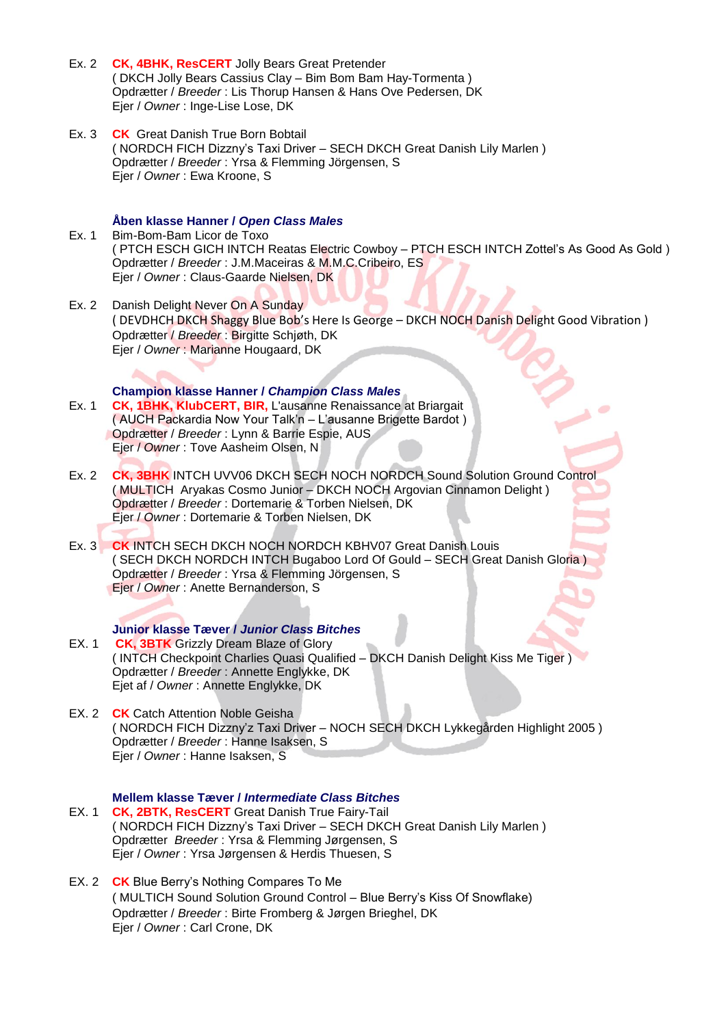- Ex. 2 **CK, 4BHK, ResCERT** Jolly Bears Great Pretender ( DKCH Jolly Bears Cassius Clay – Bim Bom Bam Hay-Tormenta ) Opdrætter / *Breeder* : Lis Thorup Hansen & Hans Ove Pedersen, DK Ejer / *Owner* : Inge-Lise Lose, DK
- Ex. 3 **CK** Great Danish True Born Bobtail ( NORDCH FICH Dizzny's Taxi Driver – SECH DKCH Great Danish Lily Marlen ) Opdrætter / *Breeder* : Yrsa & Flemming Jörgensen, S Ejer / *Owner* : Ewa Kroone, S

#### **Åben klasse Hanner /** *Open Class Males*

- Ex. 1 Bim-Bom-Bam Licor de Toxo ( PTCH ESCH GICH INTCH Reatas Electric Cowboy – PTCH ESCH INTCH Zottel's As Good As Gold ) Opdrætter / *Breeder* : J.M.Maceiras & M.M.C.Cribeiro, ES Ejer / *Owner* : Claus-Gaarde Nielsen, DK
- Ex. 2 Danish Delight Never On A Sunday ( DEVDHCH DKCH Shaggy Blue Bob's Here Is George – DKCH NOCH Danish Delight Good Vibration ) Opdrætter / *Breeder* : Birgitte Schjøth, DK Ejer / *Owner* : Marianne Hougaard, DK

**Champion klasse Hanner /** *Champion Class Males*

- Ex. 1 **CK, 1BHK, KlubCERT, BIR,** L'ausanne Renaissance at Briargait ( AUCH Packardia Now Your Talk'n – L'ausanne Brigette Bardot ) Opdrætter / *Breeder* : Lynn & Barrie Espie, AUS Ejer / *Owner* : Tove Aasheim Olsen, N
- Ex. 2 **CK, 3BHK** INTCH UVV06 DKCH SECH NOCH NORDCH Sound Solution Ground Control ( MULTICH Aryakas Cosmo Junior – DKCH NOCH Argovian Cinnamon Delight ) Opdrætter / *Breeder* : Dortemarie & Torben Nielsen, DK Ejer / *Owner* : Dortemarie & Torben Nielsen, DK
- Ex. 3 **CK** INTCH SECH DKCH NOCH NORDCH KBHV07 Great Danish Louis ( SECH DKCH NORDCH INTCH Bugaboo Lord Of Gould – SECH Great Danish Gloria ) Opdrætter / *Breeder* : Yrsa & Flemming Jörgensen, S Ejer / *Owner* : Anette Bernanderson, S

#### **Junior klasse Tæver /** *Junior Class Bitches*

- EX. 1 **CK, 3BTK** Grizzly Dream Blaze of Glory ( INTCH Checkpoint Charlies Quasi Qualified – DKCH Danish Delight Kiss Me Tiger ) Opdrætter / *Breeder* : Annette Englykke, DK Ejet af / *Owner* : Annette Englykke, DK
- EX. 2 **CK** Catch Attention Noble Geisha ( NORDCH FICH Dizzny'z Taxi Driver – NOCH SECH DKCH Lykkegården Highlight 2005 ) Opdrætter / *Breeder* : Hanne Isaksen, S Ejer / *Owner* : Hanne Isaksen, S

**Mellem klasse Tæver /** *Intermediate Class Bitches* EX. 1 **CK, 2BTK, ResCERT** Great Danish True Fairy-Tail ( NORDCH FICH Dizzny's Taxi Driver – SECH DKCH Great Danish Lily Marlen ) Opdrætter *Breeder* : Yrsa & Flemming Jørgensen, S Ejer / *Owner* : Yrsa Jørgensen & Herdis Thuesen, S

EX. 2 **CK** Blue Berry's Nothing Compares To Me ( MULTICH Sound Solution Ground Control – Blue Berry's Kiss Of Snowflake) Opdrætter / *Breeder* : Birte Fromberg & Jørgen Brieghel, DK Ejer / *Owner* : Carl Crone, DK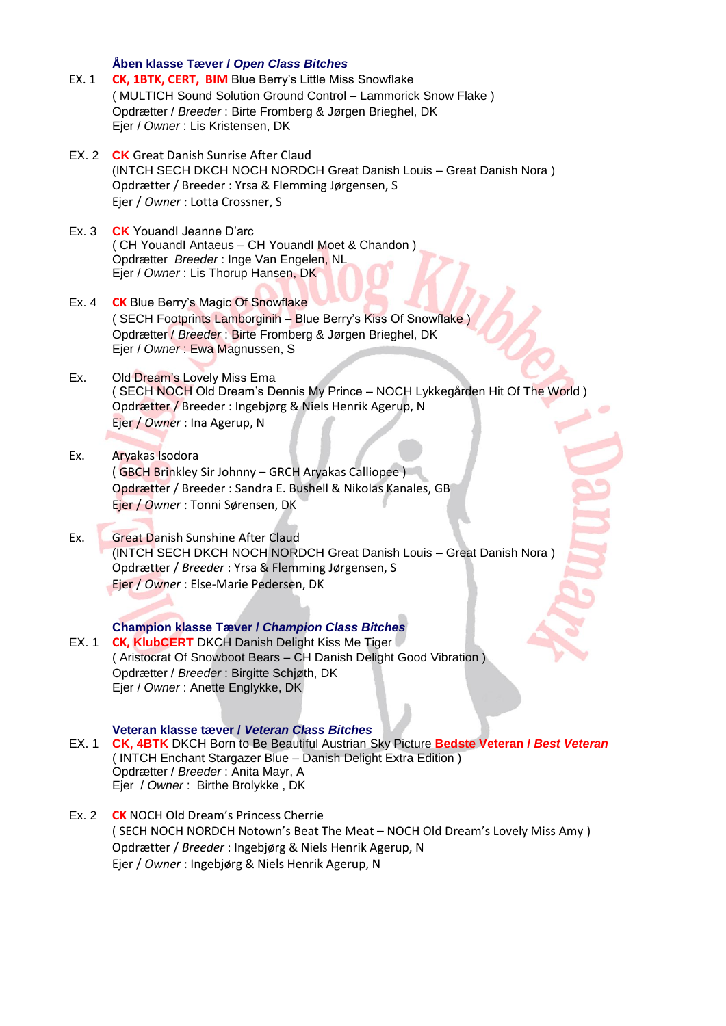**Åben klasse Tæver /** *Open Class Bitches*

- EX. 1 **CK, 1BTK, CERT, BIM** Blue Berry's Little Miss Snowflake ( MULTICH Sound Solution Ground Control – Lammorick Snow Flake ) Opdrætter / *Breeder* : Birte Fromberg & Jørgen Brieghel, DK Ejer / *Owner* : Lis Kristensen, DK
- EX. 2 **CK** Great Danish Sunrise After Claud (INTCH SECH DKCH NOCH NORDCH Great Danish Louis – Great Danish Nora ) Opdrætter / Breeder : Yrsa & Flemming Jørgensen, S Ejer / *Owner* : Lotta Crossner, S
- Ex. 3 **CK** YouandI Jeanne D'arc ( CH YouandI Antaeus – CH YouandI Moet & Chandon ) Opdrætter *Breeder* : Inge Van Engelen, NL Ejer / *Owner* : Lis Thorup Hansen, DK
- Ex. 4 **CK** Blue Berry's Magic Of Snowflake ( SECH Footprints Lamborginih – Blue Berry's Kiss Of Snowflake ) Opdrætter / *Breeder* : Birte Fromberg & Jørgen Brieghel, DK Ejer / *Owner* : Ewa Magnussen, S
- Ex. Old Dream's Lovely Miss Ema ( SECH NOCH Old Dream's Dennis My Prince – NOCH Lykkegården Hit Of The World ) Opdrætter / Breeder : Ingebjørg & Niels Henrik Agerup, N Ejer / *Owner* : Ina Agerup, N
- Ex. Aryakas Isodora ( GBCH Brinkley Sir Johnny – GRCH Aryakas Calliopee ) Opdrætter / Breeder : Sandra E. Bushell & Nikolas Kanales, GB Ejer / *Owner* : Tonni Sørensen, DK
- Ex. Great Danish Sunshine After Claud (INTCH SECH DKCH NOCH NORDCH Great Danish Louis – Great Danish Nora ) Opdrætter / *Breeder* : Yrsa & Flemming Jørgensen, S Ejer / *Owner* : Else-Marie Pedersen, DK

#### **Champion klasse Tæver /** *Champion Class Bitches*

EX. 1 **CK, KlubCERT** DKCH Danish Delight Kiss Me Tiger ( Aristocrat Of Snowboot Bears – CH Danish Delight Good Vibration ) Opdrætter / *Breeder* : Birgitte Schjøth, DK Ejer / *Owner* : Anette Englykke, DK

#### **Veteran klasse tæver /** *Veteran Class Bitches*

- EX. 1 **CK, 4BTK** DKCH Born to Be Beautiful Austrian Sky Picture **Bedste Veteran /** *Best Veteran* ( INTCH Enchant Stargazer Blue – Danish Delight Extra Edition ) Opdrætter / *Breeder* : Anita Mayr, A Ejer / *Owner* : Birthe Brolykke , DK
- Ex. 2 **CK** NOCH Old Dream's Princess Cherrie ( SECH NOCH NORDCH Notown's Beat The Meat – NOCH Old Dream's Lovely Miss Amy ) Opdrætter / *Breeder* : Ingebjørg & Niels Henrik Agerup, N Ejer / *Owner* : Ingebjørg & Niels Henrik Agerup, N